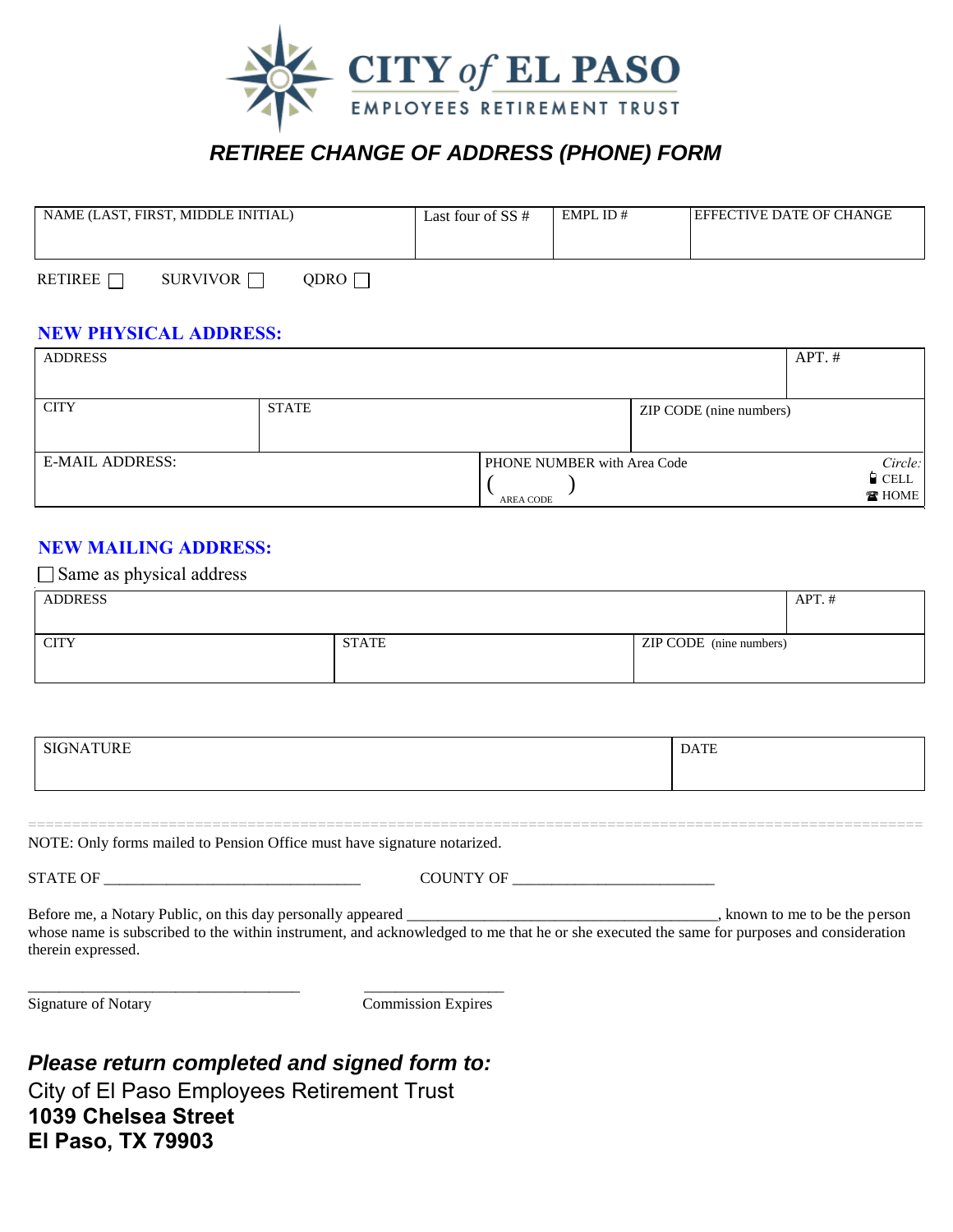

## *RETIREE CHANGE OF ADDRESS (PHONE) FORM*

| NAME (LAST, FIRST, MIDDLE INITIAL) | Last four of SS # | EMPLID# | <b>LEFFECTIVE DATE OF CHANGE</b> |
|------------------------------------|-------------------|---------|----------------------------------|
|                                    |                   |         |                                  |
|                                    |                   |         |                                  |

| <b>RETIREE F</b> | SURVIVOR | QDRO $\Box$ |
|------------------|----------|-------------|
|------------------|----------|-------------|

#### **NEW PHYSICAL ADDRESS:**

| <b>ADDRESS</b>         |              |                                          |                         | $APT.$ #                                |
|------------------------|--------------|------------------------------------------|-------------------------|-----------------------------------------|
|                        |              |                                          |                         |                                         |
| <b>CITY</b>            | <b>STATE</b> |                                          | ZIP CODE (nine numbers) |                                         |
| <b>E-MAIL ADDRESS:</b> |              | PHONE NUMBER with Area Code<br>AREA CODE |                         | Circle:<br>$\blacksquare$ CELL<br>THOME |

#### **NEW MAILING ADDRESS:**

| $\Box$ Same as physical address |              |                         |          |
|---------------------------------|--------------|-------------------------|----------|
| <b>ADDRESS</b>                  |              |                         | $APT.$ # |
|                                 |              |                         |          |
| <b>CITY</b>                     | <b>STATE</b> | ZIP CODE (nine numbers) |          |
|                                 |              |                         |          |

| $\overline{r}$<br>$-$<br>.<br>в. | <b>DATE</b><br>$\sqrt{ }$ |
|----------------------------------|---------------------------|
|                                  |                           |

======================================================================================================

NOTE: Only forms mailed to Pension Office must have signature notarized.

STATE OF GOUNTY OF THE COUNTY OF THE SET OF THE SET OF THE SET OF THE SET OF THE SET OF THE SET OF THE SET OF THE SET OF THE SET OF THE SET OF THE SET OF THE SET OF THE SET OF THE SET OF THE SET OF THE SET OF THE SET OF TH

Before me, a Notary Public, on this day personally appeared \_\_\_\_\_\_\_\_\_\_\_\_\_\_\_\_\_\_\_\_\_\_\_\_\_\_\_\_\_\_\_\_\_\_\_\_\_\_\_\_, known to me to be the person whose name is subscribed to the within instrument, and acknowledged to me that he or she executed the same for purposes and consideration therein expressed.

\_\_\_\_\_\_\_\_\_\_\_\_\_\_\_\_\_\_\_\_\_\_\_\_\_\_\_\_\_\_\_\_\_\_\_ \_\_\_\_\_\_\_\_\_\_\_\_\_\_\_\_\_\_ Signature of Notary Commission Expires

*Please return completed and signed form to:*  City of El Paso Employees Retirement Trust **1039 Chelsea Street El Paso, TX 79903**